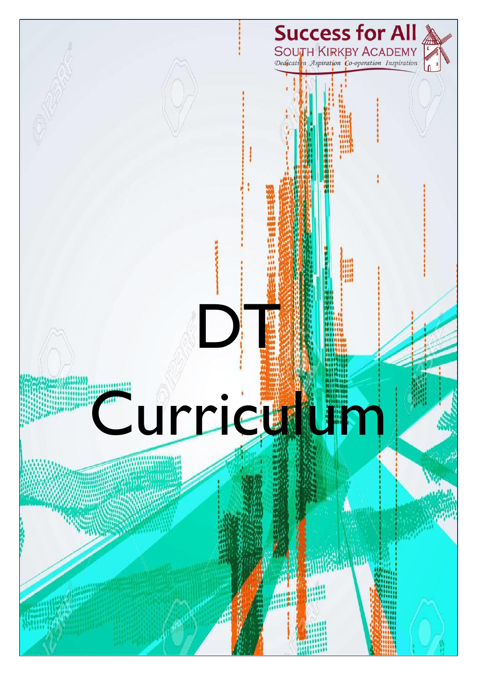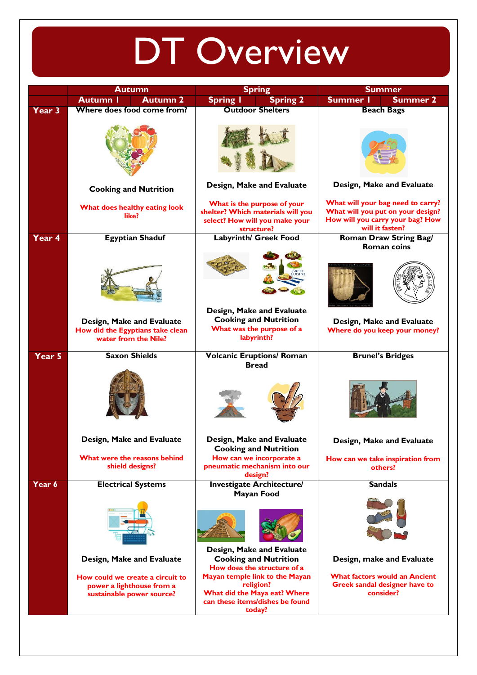## DT Overview

|               | <b>Autumn</b>                                                                              | <b>Spring</b>                                                                                                            | <b>Summer</b>                                                                                                                 |
|---------------|--------------------------------------------------------------------------------------------|--------------------------------------------------------------------------------------------------------------------------|-------------------------------------------------------------------------------------------------------------------------------|
|               | <b>Autumn 2</b><br><b>Autumn I</b>                                                         | <b>Spring I</b><br><b>Spring 2</b>                                                                                       | <b>Summer I</b><br><b>Summer 2</b>                                                                                            |
|               | Where does food come from?                                                                 | <b>Outdoor Shelters</b>                                                                                                  | <b>Beach Bags</b>                                                                                                             |
| Year 3        |                                                                                            |                                                                                                                          |                                                                                                                               |
|               |                                                                                            |                                                                                                                          |                                                                                                                               |
|               | <b>Cooking and Nutrition</b>                                                               | Design, Make and Evaluate                                                                                                | Design, Make and Evaluate                                                                                                     |
|               | What does healthy eating look<br>like?                                                     | What is the purpose of your<br>shelter? Which materials will you<br>select? How will you make your<br>structure?         | What will your bag need to carry?<br>What will you put on your design?<br>How will you carry your bag? How<br>will it fasten? |
| Year 4        | <b>Egyptian Shaduf</b>                                                                     | <b>Labyrinth/ Greek Food</b>                                                                                             | <b>Roman Draw String Bag/</b><br>Roman coins                                                                                  |
|               |                                                                                            |                                                                                                                          |                                                                                                                               |
|               | Design, Make and Evaluate<br>How did the Egyptians take clean<br>water from the Nile?      | Design, Make and Evaluate<br><b>Cooking and Nutrition</b><br>What was the purpose of a<br>labyrinth?                     | Design, Make and Evaluate<br>Where do you keep your money?                                                                    |
| <b>Year 5</b> | <b>Saxon Shields</b>                                                                       | <b>Volcanic Eruptions/ Roman</b>                                                                                         | <b>Brunel's Bridges</b>                                                                                                       |
|               |                                                                                            | <b>Bread</b>                                                                                                             |                                                                                                                               |
|               | Design, Make and Evaluate                                                                  | Design, Make and Evaluate<br><b>Cooking and Nutrition</b>                                                                | Design, Make and Evaluate                                                                                                     |
|               | What were the reasons behind<br>shield designs?                                            | How can we incorporate a<br>pneumatic mechanism into our<br>design?                                                      | How can we take inspiration from<br>others?                                                                                   |
| Year 6        | <b>Electrical Systems</b>                                                                  | <b>Investigate Architecture/</b><br><b>Mayan Food</b>                                                                    | <b>Sandals</b>                                                                                                                |
|               |                                                                                            |                                                                                                                          |                                                                                                                               |
|               | Design, Make and Evaluate                                                                  | Design, Make and Evaluate<br><b>Cooking and Nutrition</b><br>How does the structure of a                                 | Design, make and Evaluate                                                                                                     |
|               | How could we create a circuit to<br>power a lighthouse from a<br>sustainable power source? | Mayan temple link to the Mayan<br>religion?<br>What did the Maya eat? Where<br>can these items/dishes be found<br>today? | <b>What factors would an Ancient</b><br>Greek sandal designer have to<br>consider?                                            |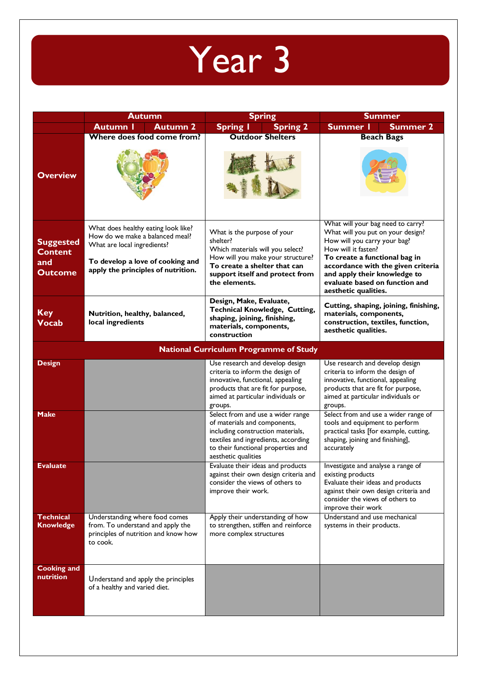

|                                                             | <b>Autumn</b>                                                                                                                                                                   | <b>Spring</b>                                                                                                                                                                                                                        | <b>Summer</b>                                                                                                                                                                                                                                                                                  |
|-------------------------------------------------------------|---------------------------------------------------------------------------------------------------------------------------------------------------------------------------------|--------------------------------------------------------------------------------------------------------------------------------------------------------------------------------------------------------------------------------------|------------------------------------------------------------------------------------------------------------------------------------------------------------------------------------------------------------------------------------------------------------------------------------------------|
|                                                             | <b>Autumn I</b><br><b>Autumn 2</b>                                                                                                                                              | <b>Spring I</b><br><b>Spring 2</b>                                                                                                                                                                                                   | <b>Summer I</b><br><b>Summer 2</b>                                                                                                                                                                                                                                                             |
| <b>Overview</b>                                             | Where does food come from?                                                                                                                                                      | <b>Outdoor Shelters</b>                                                                                                                                                                                                              | <b>Beach Bags</b>                                                                                                                                                                                                                                                                              |
| <b>Suggested</b><br><b>Content</b><br>and<br><b>Outcome</b> | What does healthy eating look like?<br>How do we make a balanced meal?<br>What are local ingredients?<br>To develop a love of cooking and<br>apply the principles of nutrition. | What is the purpose of your<br>shelter?<br>Which materials will you select?<br>How will you make your structure?<br>To create a shelter that can<br>support itself and protect from<br>the elements.                                 | What will your bag need to carry?<br>What will you put on your design?<br>How will you carry your bag?<br>How will it fasten?<br>To create a functional bag in<br>accordance with the given criteria<br>and apply their knowledge to<br>evaluate based on function and<br>aesthetic qualities. |
| <b>Key</b><br><b>Vocab</b>                                  | Nutrition, healthy, balanced,<br>local ingredients                                                                                                                              | Design, Make, Evaluate,<br><b>Technical Knowledge, Cutting,</b><br>shaping, joining, finishing,<br>materials, components,<br>construction                                                                                            | Cutting, shaping, joining, finishing,<br>materials, components,<br>construction, textiles, function,<br>aesthetic qualities.                                                                                                                                                                   |
|                                                             |                                                                                                                                                                                 | <b>National Curriculum Programme of Study</b>                                                                                                                                                                                        |                                                                                                                                                                                                                                                                                                |
| <b>Design</b><br><b>Make</b>                                |                                                                                                                                                                                 | Use research and develop design<br>criteria to inform the design of<br>innovative, functional, appealing<br>products that are fit for purpose,<br>aimed at particular individuals or<br>groups.<br>Select from and use a wider range | Use research and develop design<br>criteria to inform the design of<br>innovative, functional, appealing<br>products that are fit for purpose,<br>aimed at particular individuals or<br>groups.<br>Select from and use a wider range of                                                        |
|                                                             |                                                                                                                                                                                 | of materials and components,<br>including construction materials,<br>textiles and ingredients, according<br>to their functional properties and<br>aesthetic qualities                                                                | tools and equipment to perform<br>practical tasks [for example, cutting,<br>shaping, joining and finishing],<br>accurately                                                                                                                                                                     |
| Evaluate                                                    |                                                                                                                                                                                 | Evaluate their ideas and products<br>against their own design criteria and<br>consider the views of others to<br>improve their work.                                                                                                 | Investigate and analyse a range of<br>existing products<br>Evaluate their ideas and products<br>against their own design criteria and<br>consider the views of others to<br>improve their work                                                                                                 |
| <b>Technical</b><br><b>Knowledge</b>                        | Understanding where food comes<br>from. To understand and apply the<br>principles of nutrition and know how<br>to cook.                                                         | Apply their understanding of how<br>to strengthen, stiffen and reinforce<br>more complex structures                                                                                                                                  | Understand and use mechanical<br>systems in their products.                                                                                                                                                                                                                                    |
| <b>Cooking and</b><br>nutrition                             | Understand and apply the principles<br>of a healthy and varied diet.                                                                                                            |                                                                                                                                                                                                                                      |                                                                                                                                                                                                                                                                                                |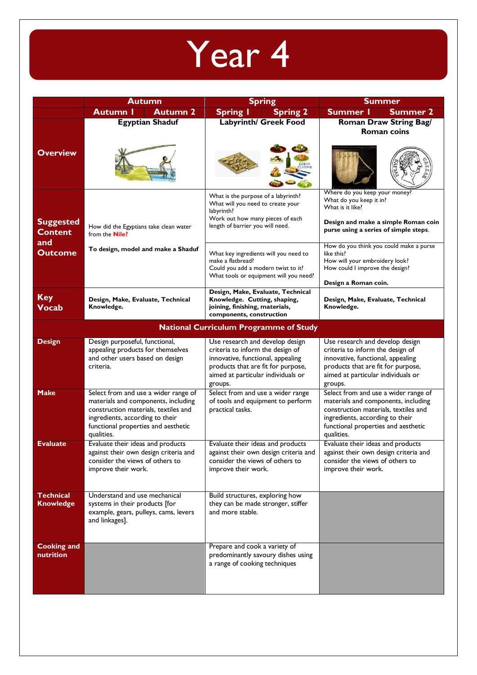

|                                      | <b>Autumn</b>                                                                                                                                                                                               | <b>Spring</b>                                                                                                                                                                                   | <b>Summer</b>                                                                                                                                                                                               |
|--------------------------------------|-------------------------------------------------------------------------------------------------------------------------------------------------------------------------------------------------------------|-------------------------------------------------------------------------------------------------------------------------------------------------------------------------------------------------|-------------------------------------------------------------------------------------------------------------------------------------------------------------------------------------------------------------|
|                                      | <b>Autumn 2</b><br><b>Autumn I</b>                                                                                                                                                                          | <b>Spring I</b><br><b>Spring 2</b>                                                                                                                                                              | Summer 2<br>Summer I                                                                                                                                                                                        |
| <b>Overview</b>                      | <b>Egyptian Shaduf</b>                                                                                                                                                                                      | <b>Labyrinth/ Greek Food</b>                                                                                                                                                                    | <b>Roman Draw String Bag/</b><br><b>Roman coins</b>                                                                                                                                                         |
|                                      |                                                                                                                                                                                                             |                                                                                                                                                                                                 | Where do you keep your money?                                                                                                                                                                               |
| <b>Suggested</b><br><b>Content</b>   | How did the Egyptians take clean water<br>from the <b>Nile?</b>                                                                                                                                             | What is the purpose of a labyrinth?<br>What will you need to create your<br>labyrinth?<br>Work out how many pieces of each<br>length of barrier you will need.                                  | What do you keep it in?<br>What is it like?<br>Design and make a simple Roman coin<br>purse using a series of simple steps.                                                                                 |
| and<br><b>Outcome</b>                | To design, model and make a Shaduf                                                                                                                                                                          | What key ingredients will you need to<br>make a flatbread?<br>Could you add a modern twist to it?<br>What tools or equipment will you need?                                                     | How do you think you could make a purse<br>like this?<br>How will your embroidery look?<br>How could I improve the design?<br>Design a Roman coin.                                                          |
| <b>Key</b><br><b>Vocab</b>           | Design, Make, Evaluate, Technical<br>Knowledge.                                                                                                                                                             | Design, Make, Evaluate, Technical<br>Knowledge. Cutting, shaping,<br>joining, finishing, materials,<br>components, construction                                                                 | Design, Make, Evaluate, Technical<br>Knowledge.                                                                                                                                                             |
|                                      |                                                                                                                                                                                                             | <b>National Curriculum Programme of Study</b>                                                                                                                                                   |                                                                                                                                                                                                             |
| <b>Design</b>                        | Design purposeful, functional,<br>appealing products for themselves<br>and other users based on design<br>criteria.                                                                                         | Use research and develop design<br>criteria to inform the design of<br>innovative, functional, appealing<br>products that are fit for purpose,<br>aimed at particular individuals or<br>groups. | Use research and develop design<br>criteria to inform the design of<br>innovative, functional, appealing<br>products that are fit for purpose,<br>aimed at particular individuals or<br>groups.             |
| <b>Make</b>                          | Select from and use a wider range of<br>materials and components, including<br>construction materials, textiles and<br>ingredients, according to their<br>functional properties and aesthetic<br>qualities. | Select from and use a wider range<br>of tools and equipment to perform<br>practical tasks.                                                                                                      | Select from and use a wider range of<br>materials and components, including<br>construction materials, textiles and<br>ingredients, according to their<br>functional properties and aesthetic<br>qualities. |
| <b>Evaluate</b>                      | Evaluate their ideas and products<br>against their own design criteria and<br>consider the views of others to<br>improve their work.                                                                        | Evaluate their ideas and products<br>against their own design criteria and<br>consider the views of others to<br>improve their work.                                                            | Evaluate their ideas and products<br>against their own design criteria and<br>consider the views of others to<br>improve their work.                                                                        |
| <b>Technical</b><br><b>Knowledge</b> | Understand and use mechanical<br>systems in their products [for<br>example, gears, pulleys, cams, levers<br>and linkages].                                                                                  | Build structures, exploring how<br>they can be made stronger, stiffer<br>and more stable.                                                                                                       |                                                                                                                                                                                                             |
| <b>Cooking and</b><br>nutrition      |                                                                                                                                                                                                             | Prepare and cook a variety of<br>predominantly savoury dishes using<br>a range of cooking techniques                                                                                            |                                                                                                                                                                                                             |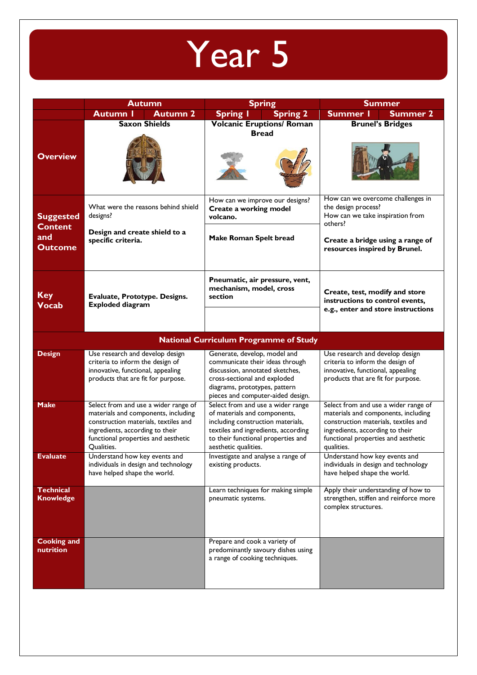## Year 5

|                                                             | <b>Autumn</b>                                                                                                                                                                                               | <b>Spring</b>                                                                                                                                                                                               | <b>Summer</b>                                                                                                                                                                                               |
|-------------------------------------------------------------|-------------------------------------------------------------------------------------------------------------------------------------------------------------------------------------------------------------|-------------------------------------------------------------------------------------------------------------------------------------------------------------------------------------------------------------|-------------------------------------------------------------------------------------------------------------------------------------------------------------------------------------------------------------|
|                                                             | <b>Autumn 2</b><br>Autumn I                                                                                                                                                                                 | <b>Spring I</b><br><b>Spring 2</b>                                                                                                                                                                          | Summer I<br><b>Summer 2</b>                                                                                                                                                                                 |
| <b>Overview</b>                                             | <b>Saxon Shields</b>                                                                                                                                                                                        | <b>Volcanic Eruptions/ Roman</b><br><b>Bread</b>                                                                                                                                                            | <b>Brunel's Bridges</b>                                                                                                                                                                                     |
| <b>Suggested</b><br><b>Content</b><br>and<br><b>Outcome</b> | What were the reasons behind shield<br>designs?<br>Design and create shield to a<br>specific criteria.                                                                                                      | How can we improve our designs?<br>Create a working model<br>volcano.<br><b>Make Roman Spelt bread</b>                                                                                                      | How can we overcome challenges in<br>the design process?<br>How can we take inspiration from<br>others?<br>Create a bridge using a range of<br>resources inspired by Brunel.                                |
| <b>Key</b><br><b>Vocab</b>                                  | Evaluate, Prototype. Designs.<br><b>Exploded diagram</b>                                                                                                                                                    | Pneumatic, air pressure, vent,<br>mechanism, model, cross<br>section                                                                                                                                        | Create, test, modify and store<br>instructions to control events,<br>e.g., enter and store instructions                                                                                                     |
|                                                             |                                                                                                                                                                                                             | <b>National Curriculum Programme of Study</b>                                                                                                                                                               |                                                                                                                                                                                                             |
| <b>Design</b>                                               | Use research and develop design<br>criteria to inform the design of<br>innovative, functional, appealing<br>products that are fit for purpose.                                                              | Generate, develop, model and<br>communicate their ideas through<br>discussion, annotated sketches,<br>cross-sectional and exploded<br>diagrams, prototypes, pattern<br>pieces and computer-aided design.    | Use research and develop design<br>criteria to inform the design of<br>innovative, functional, appealing<br>products that are fit for purpose.                                                              |
| <b>Make</b>                                                 | Select from and use a wider range of<br>materials and components, including<br>construction materials, textiles and<br>ingredients, according to their<br>functional properties and aesthetic<br>Qualities. | Select from and use a wider range<br>of materials and components,<br>including construction materials,<br>textiles and ingredients, according<br>to their functional properties and<br>aesthetic qualities. | Select from and use a wider range of<br>materials and components, including<br>construction materials, textiles and<br>ingredients, according to their<br>functional properties and aesthetic<br>qualities. |
| Evaluate                                                    | Understand how key events and<br>individuals in design and technology<br>have helped shape the world.                                                                                                       | Investigate and analyse a range of<br>existing products.                                                                                                                                                    | Understand how key events and<br>individuals in design and technology<br>have helped shape the world.                                                                                                       |
| <b>Technical</b><br><b>Knowledge</b>                        |                                                                                                                                                                                                             | Learn techniques for making simple<br>pneumatic systems.                                                                                                                                                    | Apply their understanding of how to<br>strengthen, stiffen and reinforce more<br>complex structures.                                                                                                        |
| <b>Cooking and</b><br>nutrition                             |                                                                                                                                                                                                             | Prepare and cook a variety of<br>predominantly savoury dishes using<br>a range of cooking techniques.                                                                                                       |                                                                                                                                                                                                             |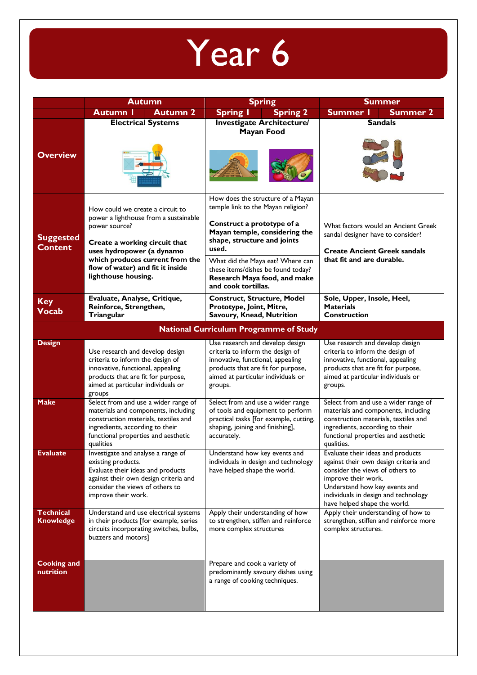## Year 6

|                                      | <b>Autumn</b>                                                                                                                                                                                                                                          | <b>Spring</b>                                                                                                                                                                                                                                                                                                   | <b>Summer</b>                                                                                                                                                                                                                                 |
|--------------------------------------|--------------------------------------------------------------------------------------------------------------------------------------------------------------------------------------------------------------------------------------------------------|-----------------------------------------------------------------------------------------------------------------------------------------------------------------------------------------------------------------------------------------------------------------------------------------------------------------|-----------------------------------------------------------------------------------------------------------------------------------------------------------------------------------------------------------------------------------------------|
|                                      | <b>Autumn 2</b><br><b>Autumn I</b>                                                                                                                                                                                                                     | <b>Spring 2</b><br><b>Spring I</b>                                                                                                                                                                                                                                                                              | <b>Summer I</b><br><b>Summer 2</b>                                                                                                                                                                                                            |
| <b>Overview</b>                      | <b>Electrical Systems</b>                                                                                                                                                                                                                              | <b>Investigate Architecture/</b><br><b>Mayan Food</b>                                                                                                                                                                                                                                                           | <b>Sandals</b>                                                                                                                                                                                                                                |
| <b>Suggested</b><br><b>Content</b>   | How could we create a circuit to<br>power a lighthouse from a sustainable<br>power source?<br>Create a working circuit that<br>uses hydropower (a dynamo<br>which produces current from the<br>flow of water) and fit it inside<br>lighthouse housing. | How does the structure of a Mayan<br>temple link to the Mayan religion?<br>Construct a prototype of a<br>Mayan temple, considering the<br>shape, structure and joints<br>used.<br>What did the Maya eat? Where can<br>these items/dishes be found today?<br>Research Maya food, and make<br>and cook tortillas. | What factors would an Ancient Greek<br>sandal designer have to consider?<br><b>Create Ancient Greek sandals</b><br>that fit and are durable.                                                                                                  |
| <b>Key</b><br><b>Vocab</b>           | Evaluate, Analyse, Critique,<br>Reinforce, Strengthen,<br>Triangular                                                                                                                                                                                   | <b>Construct, Structure, Model</b><br>Prototype, Joint, Mitre,<br>Savoury, Knead, Nutrition                                                                                                                                                                                                                     | Sole, Upper, Insole, Heel,<br><b>Materials</b><br><b>Construction</b>                                                                                                                                                                         |
|                                      |                                                                                                                                                                                                                                                        | <b>National Curriculum Programme of Study</b>                                                                                                                                                                                                                                                                   |                                                                                                                                                                                                                                               |
| <b>Design</b>                        | Use research and develop design<br>criteria to inform the design of<br>innovative, functional, appealing<br>products that are fit for purpose,<br>aimed at particular individuals or<br>groups                                                         | Use research and develop design<br>criteria to inform the design of<br>innovative, functional, appealing<br>products that are fit for purpose,<br>aimed at particular individuals or<br>groups.                                                                                                                 | Use research and develop design<br>criteria to inform the design of<br>innovative, functional, appealing<br>products that are fit for purpose,<br>aimed at particular individuals or<br>groups.                                               |
| <b>Make</b>                          | Select from and use a wider range of<br>materials and components, including<br>construction materials, textiles and<br>ingredients, according to their<br>functional properties and aesthetic<br>qualities                                             | Select from and use a wider range<br>of tools and equipment to perform<br>practical tasks [for example, cutting,<br>shaping, joining and finishing],<br>accurately.                                                                                                                                             | Select from and use a wider range of<br>materials and components, including<br>construction materials, textiles and<br>ingredients, according to their<br>functional properties and aesthetic<br>qualities.                                   |
| <b>Evaluate</b>                      | Investigate and analyse a range of<br>existing products.<br>Evaluate their ideas and products<br>against their own design criteria and<br>consider the views of others to<br>improve their work.                                                       | Understand how key events and<br>individuals in design and technology<br>have helped shape the world.                                                                                                                                                                                                           | Evaluate their ideas and products<br>against their own design criteria and<br>consider the views of others to<br>improve their work.<br>Understand how key events and<br>individuals in design and technology<br>have helped shape the world. |
| <b>Technical</b><br><b>Knowledge</b> | Understand and use electrical systems<br>in their products [for example, series<br>circuits incorporating switches, bulbs,<br>buzzers and motors]                                                                                                      | Apply their understanding of how<br>to strengthen, stiffen and reinforce<br>more complex structures                                                                                                                                                                                                             | Apply their understanding of how to<br>strengthen, stiffen and reinforce more<br>complex structures.                                                                                                                                          |
| <b>Cooking and</b><br>nutrition      |                                                                                                                                                                                                                                                        | Prepare and cook a variety of<br>predominantly savoury dishes using<br>a range of cooking techniques.                                                                                                                                                                                                           |                                                                                                                                                                                                                                               |